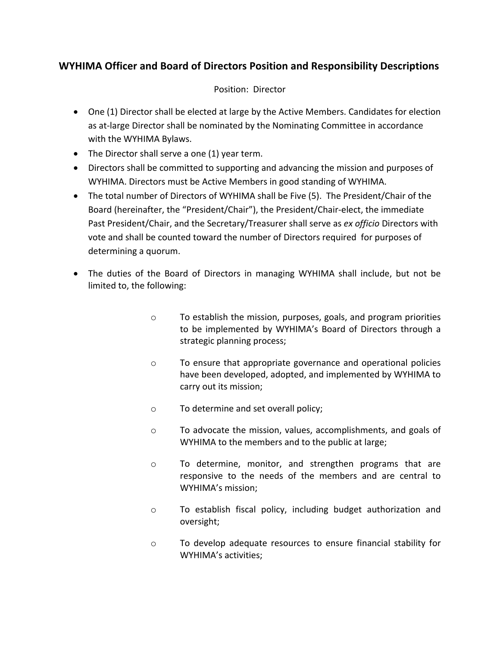## **WYHIMA Officer and Board of Directors Position and Responsibility Descriptions**

## Position: Director

- One (1) Director shall be elected at large by the Active Members. Candidates for election as at-large Director shall be nominated by the Nominating Committee in accordance with the WYHIMA Bylaws.
- The Director shall serve a one (1) year term.
- Directors shall be committed to supporting and advancing the mission and purposes of WYHIMA. Directors must be Active Members in good standing of WYHIMA.
- The total number of Directors of WYHIMA shall be Five (5). The President/Chair of the Board (hereinafter, the "President/Chair"), the President/Chair-elect, the immediate Past President/Chair, and the Secretary/Treasurer shall serve as *ex officio* Directors with vote and shall be counted toward the number of Directors required for purposes of determining a quorum.
- The duties of the Board of Directors in managing WYHIMA shall include, but not be limited to, the following:
	- o To establish the mission, purposes, goals, and program priorities to be implemented by WYHIMA's Board of Directors through a strategic planning process;
	- o To ensure that appropriate governance and operational policies have been developed, adopted, and implemented by WYHIMA to carry out its mission;
	- o To determine and set overall policy;
	- o To advocate the mission, values, accomplishments, and goals of WYHIMA to the members and to the public at large;
	- o To determine, monitor, and strengthen programs that are responsive to the needs of the members and are central to WYHIMA's mission;
	- o To establish fiscal policy, including budget authorization and oversight;
	- o To develop adequate resources to ensure financial stability for WYHIMA's activities;